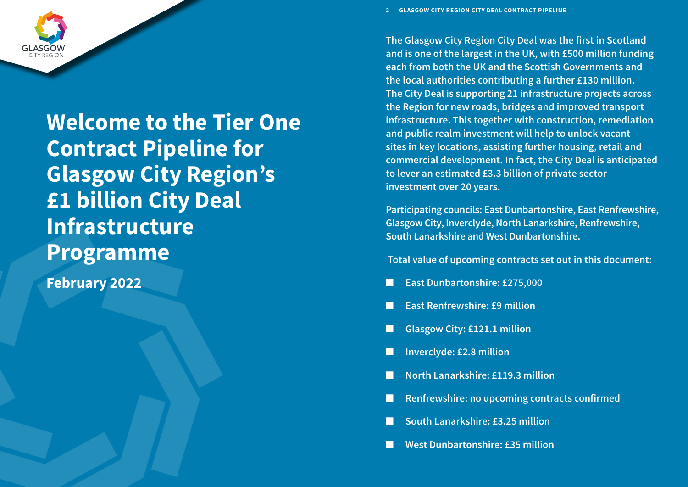**Welcome to the Tier One Contract Pipeline for Glasgow City Region's £1 billion City Deal Infrastructure Programme**

**February 2022**



**The Glasgow City Region City Deal was the first in Scotland and is one of the largest in the UK, with £500 million funding each from both the UK and the Scottish Governments and the local authorities contributing a further £130 million. The City Deal is supporting 21 infrastructure projects across the Region for new roads, bridges and improved transport infrastructure. This together with construction, remediation and public realm investment will help to unlock vacant sites in key locations, assisting further housing, retail and commercial development. In fact, the City Deal is anticipated to lever an estimated £3.3 billion of private sector investment over 20 years.**

**Participating councils: East Dunbartonshire, East Renfrewshire, Glasgow City, Inverclyde, North Lanarkshire, Renfrewshire, South Lanarkshire and West Dunbartonshire.**

 **Total value of upcoming contracts set out in this document:**

- **East Dunbartonshire: £275,000**
- **East Renfrewshire: £9 million**
- **Glasgow City: £121.1 million**
- n **Inverclyde: £2.8 million**
- n **North Lanarkshire: £119.3 million**
- **Renfrewshire: no upcoming contracts confirmed**
- n **South Lanarkshire: £3.25 million**
- **West Dunbartonshire: £35 million**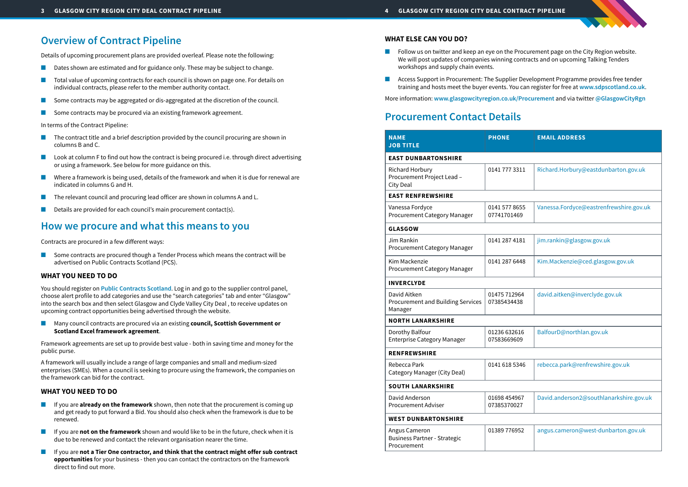# **Overview of Contract Pipeline**

Details of upcoming procurement plans are provided overleaf. Please note the following:

- Dates shown are estimated and for guidance only. These may be subject to change.
- Total value of upcoming contracts for each council is shown on page one. For details on individual contracts, please refer to the member authority contact.
- Some contracts may be aggregated or dis-aggregated at the discretion of the council.
- Some contracts may be procured via an existing framework agreement.

In terms of the Contract Pipeline:

- The contract title and a brief description provided by the council procuring are shown in columns B and C.
- Look at column F to find out how the contract is being procured i.e. through direct advertising or using a framework. See below for more guidance on this.
- Where a framework is being used, details of the framework and when it is due for renewal are indicated in columns G and H.
- The relevant council and procuring lead officer are shown in columns A and L.
- Details are provided for each council's main procurement contact(s).

Some contracts are procured though a Tender Process which means the contract will be advertised on Public Contracts Scotland (PCS).

■ Many council contracts are procured via an existing **council, Scottish Government or Scotland Excel framework agreement**.

# **How we procure and what this means to you**

Contracts are procured in a few different ways:

### **[WHAT YOU NEED TO DO](https://www.publiccontractsscotland.gov.uk/search/search_CategoryView.aspx?ID=281)**

- Follow us on twitter and keep an eye on the Procurement page on the City Region website. We will post updates of companies winning contracts and on upcoming Talking Tenders workshops and supply chain events.
- 

You should register on **Public Contracts Scotland**[. Log in and go to the supplier control panel,](https://www.publiccontractsscotland.gov.uk/search/search_CategoryView.aspx?ID=281)  [choose alert profile to add categories and use the "search categories" tab and enter "Glasgow"](https://www.publiccontractsscotland.gov.uk/search/search_CategoryView.aspx?ID=281)  [into the search box and then select Glasgow and Clyde Valley City Deal , to receive updates on](https://www.publiccontractsscotland.gov.uk/search/search_CategoryView.aspx?ID=281)  [upcoming contract opportunities being advertised through the website.](https://www.publiccontractsscotland.gov.uk/search/search_CategoryView.aspx?ID=281)

Framework agreements are set up to provide best value - both in saving time and money for the public purse.

A framework will usually include a range of large companies and small and medium-sized enterprises (SMEs). When a council is seeking to procure using the framework, the companies on the framework can bid for the contract.

## **WHAT YOU NEED TO DO**

- If you are **already on the framework** shown, then note that the procurement is coming up and get ready to put forward a Bid. You should also check when the framework is due to be renewed.
- If you are **not on the framework** shown and would like to be in the future, check when it is due to be renewed and contact the relevant organisation nearer the time.
- If you are not a Tier One contractor, and think that the contract might offer sub contract **opportunities** for your business - then you can contact the contractors on the framework direct to find out more.

## **WHAT ELSE CAN YOU DO?**

■ Access Support in Procurement: The Supplier Development Programme provides free tender training and hosts meet the buyer events. You can register for free at **[www.sdpscotland.co.uk](https://www.sdpscotland.co.uk)**.

More information: **[www.glasgowcityregion.co.uk/Procurement](http://www.glasgowcityregion.co.uk/Procurement)** and via twitter **[@GlasgowCityR](https://twitter.com/glasgowcityrgn)gn**

| <b>NAME</b><br><b>JOB TITLE</b>                                          | <b>PHONE</b>                 | <b>EMAIL ADDRESS</b>                    |
|--------------------------------------------------------------------------|------------------------------|-----------------------------------------|
| <b>EAST DUNBARTONSHIRE</b>                                               |                              |                                         |
| <b>Richard Horbury</b><br>Procurement Project Lead -<br><b>City Deal</b> | 01417773311                  | Richard.Horbury@eastdunbarton.gov.uk    |
| <b>EAST RENFREWSHIRE</b>                                                 |                              |                                         |
| Vanessa Fordyce<br><b>Procurement Category Manager</b>                   | 0141 577 8655<br>07741701469 | Vanessa.Fordyce@eastrenfrewshire.gov.uk |
| <b>GLASGOW</b>                                                           |                              |                                         |
| Jim Rankin<br>Procurement Category Manager                               | 0141 287 4181                | jim.rankin@glasgow.gov.uk               |
| Kim Mackenzie<br>Procurement Category Manager                            | 0141 287 6448                | Kim.Mackenzie@ced.glasgow.gov.uk        |
| <b>INVERCLYDE</b>                                                        |                              |                                         |
| David Aitken<br><b>Procurement and Building Services</b><br>Manager      | 01475 712964<br>07385434438  | david.aitken@inverclyde.gov.uk          |
| <b>NORTH LANARKSHIRE</b>                                                 |                              |                                         |
| Dorothy Balfour<br><b>Enterprise Category Manager</b>                    | 01236 632616<br>07583669609  | BalfourD@northlan.gov.uk                |
| <b>RENFREWSHIRE</b>                                                      |                              |                                         |
| Rebecca Park<br>Category Manager (City Deal)                             | 0141 618 5346                | rebecca.park@renfrewshire.gov.uk        |
| <b>SOUTH LANARKSHIRE</b>                                                 |                              |                                         |
| David Anderson<br><b>Procurement Adviser</b>                             | 01698 454967<br>07385370027  | David.anderson2@southlanarkshire.gov.uk |
| <b>WEST DUNBARTONSHIRE</b>                                               |                              |                                         |
| Angus Cameron<br><b>Business Partner - Strategic</b><br>Procurement      | 01389 776952                 | angus.cameron@west-dunbarton.gov.uk     |

## **Procurement Contact Details**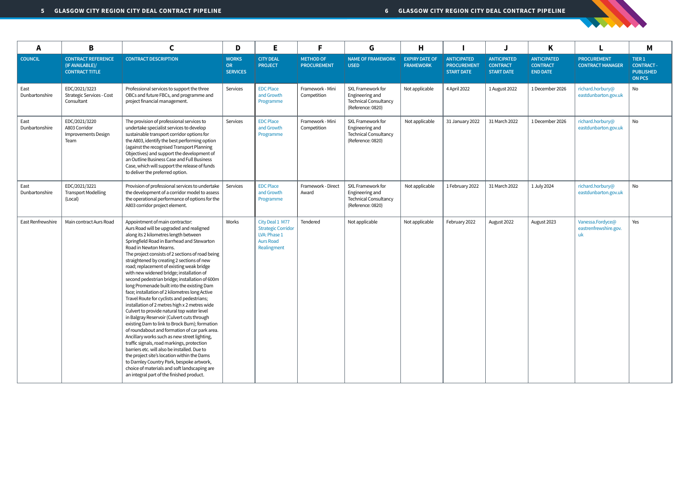| A                      | B                                                                     | C                                                                                                                                                                                                                                                                                                                                                                                                                                                                                                                                                                                                                                                                                                                                                                                                                                                                                                                                                                                                                                                                                                                                                                              | D                                      | E.                                                                                              | F                                      | G                                                                                         | Н                                         |                                                               |                                                            | Κ                                                        |                                                 | M                                                                          |
|------------------------|-----------------------------------------------------------------------|--------------------------------------------------------------------------------------------------------------------------------------------------------------------------------------------------------------------------------------------------------------------------------------------------------------------------------------------------------------------------------------------------------------------------------------------------------------------------------------------------------------------------------------------------------------------------------------------------------------------------------------------------------------------------------------------------------------------------------------------------------------------------------------------------------------------------------------------------------------------------------------------------------------------------------------------------------------------------------------------------------------------------------------------------------------------------------------------------------------------------------------------------------------------------------|----------------------------------------|-------------------------------------------------------------------------------------------------|----------------------------------------|-------------------------------------------------------------------------------------------|-------------------------------------------|---------------------------------------------------------------|------------------------------------------------------------|----------------------------------------------------------|-------------------------------------------------|----------------------------------------------------------------------------|
| <b>COUNCIL</b>         | <b>CONTRACT REFERENCE</b><br>(IF AVAILABLE)/<br><b>CONTRACT TITLE</b> | <b>CONTRACT DESCRIPTION</b>                                                                                                                                                                                                                                                                                                                                                                                                                                                                                                                                                                                                                                                                                                                                                                                                                                                                                                                                                                                                                                                                                                                                                    | <b>WORKS</b><br>OR.<br><b>SERVICES</b> | <b>CITY DEAL</b><br><b>PROJECT</b>                                                              | <b>METHOD OF</b><br><b>PROCUREMENT</b> | <b>NAME OF FRAMEWORK</b><br><b>USED</b>                                                   | <b>EXPIRY DATE OF</b><br><b>FRAMEWORK</b> | <b>ANTICIPATED</b><br><b>PROCUREMENT</b><br><b>START DATE</b> | <b>ANTICIPATED</b><br><b>CONTRACT</b><br><b>START DATE</b> | <b>ANTICIPATED</b><br><b>CONTRACT</b><br><b>END DATE</b> | <b>PROCUREMENT</b><br><b>CONTRACT MANAGER</b>   | TIER <sub>1</sub><br><b>CONTRACT-</b><br><b>PUBLISHED</b><br><b>ON PCS</b> |
| East<br>Dunbartonshire | EDC/2021/3223<br><b>Strategic Services - Cost</b><br>Consultant       | Professional services to support the three<br>OBCs and future FBCs, and programme and<br>project financial management.                                                                                                                                                                                                                                                                                                                                                                                                                                                                                                                                                                                                                                                                                                                                                                                                                                                                                                                                                                                                                                                         | Services                               | <b>EDC Place</b><br>and Growth<br>Programme                                                     | Framework - Mini<br>Competition        | SXL Framework for<br>Engineering and<br>Technical Consultancy<br>(Reference: 0820)        | Not applicable                            | 4 April 2022                                                  | 1 August 2022                                              | 1 December 2026                                          | richard.horbury@<br>eastdunbarton.gov.uk        | No                                                                         |
| East<br>Dunbartonshire | EDC/2021/3220<br>A803 Corridor<br>Improvements Design<br>Team         | The provision of professional services to<br>undertake specialist services to develop<br>sustainable transport corridor options for<br>the A803, identify the best performing option<br>(against the recognised Transport Planning<br>Objectives) and support the development of<br>an Outline Business Case and Full Business<br>Case, which will support the release of funds<br>to deliver the preferred option.                                                                                                                                                                                                                                                                                                                                                                                                                                                                                                                                                                                                                                                                                                                                                            | Services                               | <b>EDC Place</b><br>and Growth<br>Programme                                                     | Framework - Mini<br>Competition        | SXL Framework for<br>Engineering and<br><b>Technical Consultancy</b><br>(Reference: 0820) | Not applicable                            | 31 January 2022                                               | 31 March 2022                                              | 1 December 2026                                          | richard.horbury@<br>eastdunbarton.gov.uk        | No                                                                         |
| East<br>Dunbartonshire | EDC/2021/3221<br><b>Transport Modelling</b><br>(Local)                | Provision of professional services to undertake<br>the development of a corridor model to assess<br>the operational performance of options for the<br>A803 corridor project element.                                                                                                                                                                                                                                                                                                                                                                                                                                                                                                                                                                                                                                                                                                                                                                                                                                                                                                                                                                                           | Services                               | <b>EDC Place</b><br>and Growth<br>Programme                                                     | Framework - Direct<br>Award            | SXL Framework for<br>Engineering and<br><b>Technical Consultancy</b><br>(Reference: 0820) | Not applicable                            | 1 February 2022                                               | 31 March 2022                                              | 1 July 2024                                              | richard.horbury@<br>eastdunbarton.gov.uk        | No                                                                         |
| East Renfrewshire      | Main contract Aurs Road                                               | Appointment of main contractor:<br>Aurs Road will be upgraded and realigned<br>along its 2 kilometres length between<br>Springfield Road in Barrhead and Stewarton<br>Road in Newton Mearns.<br>The project consists of 2 sections of road being<br>straightened by creating 2 sections of new<br>road; replacement of existing weak bridge<br>with new widened bridge; installation of<br>second pedestrian bridge; installation of 600m<br>long Promenade built into the existing Dam<br>face; installation of 2 kilometres long Active<br>Travel Route for cyclists and pedestrians;<br>installation of 2 metres high x 2 metres wide<br>Culvert to provide natural top water level<br>in Balgray Reservoir (Culvert cuts through<br>existing Dam to link to Brock Burn); formation<br>of roundabout and formation of car park area.<br>Ancillary works such as new street lighting,<br>traffic signals, road markings, protection<br>barriers etc. will also be installed. Due to<br>the project site's location within the Dams<br>to Darnley Country Park, bespoke artwork,<br>choice of materials and soft landscaping are<br>an integral part of the finished product. | Works                                  | City Deal 1 M77<br><b>Strategic Corridor</b><br>LVA: Phase 1<br><b>Aurs Road</b><br>Realingment | Tendered                               | Not applicable                                                                            | Not applicable                            | February 2022                                                 | August 2022                                                | August 2023                                              | Vanessa.Fordyce@<br>eastrenfrewshire.gov.<br>uk | Yes                                                                        |

**CONTRACTOR**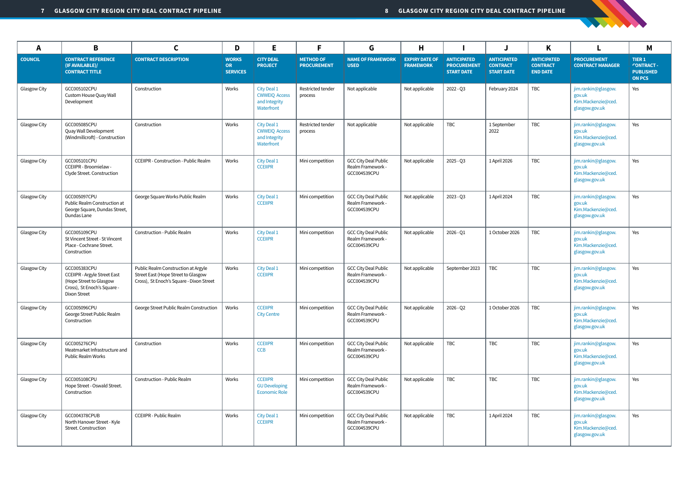| A              | B                                                                                                                                    | C                                                                                                                      | D                                            | E.                                                                 | F                                      | G                                                                | H                                         |                                                               |                                                            | K                                                        |                                                                       | M                                                                          |
|----------------|--------------------------------------------------------------------------------------------------------------------------------------|------------------------------------------------------------------------------------------------------------------------|----------------------------------------------|--------------------------------------------------------------------|----------------------------------------|------------------------------------------------------------------|-------------------------------------------|---------------------------------------------------------------|------------------------------------------------------------|----------------------------------------------------------|-----------------------------------------------------------------------|----------------------------------------------------------------------------|
| <b>COUNCIL</b> | <b>CONTRACT REFERENCE</b><br>(IF AVAILABLE)/<br><b>CONTRACT TITLE</b>                                                                | <b>CONTRACT DESCRIPTION</b>                                                                                            | <b>WORKS</b><br><b>OR</b><br><b>SERVICES</b> | <b>CITY DEAL</b><br><b>PROJECT</b>                                 | <b>METHOD OF</b><br><b>PROCUREMENT</b> | <b>NAME OF FRAMEWORK</b><br><b>USED</b>                          | <b>EXPIRY DATE OF</b><br><b>FRAMEWORK</b> | <b>ANTICIPATED</b><br><b>PROCUREMENT</b><br><b>START DATE</b> | <b>ANTICIPATED</b><br><b>CONTRACT</b><br><b>START DATE</b> | <b>ANTICIPATED</b><br><b>CONTRACT</b><br><b>END DATE</b> | <b>PROCUREMENT</b><br><b>CONTRACT MANAGER</b>                         | TIER <sub>1</sub><br><b>CONTRACT-</b><br><b>PUBLISHED</b><br><b>ON PCS</b> |
| Glasgow City   | GCC005102CPU<br>Custom House Quay Wall<br>Development                                                                                | Construction                                                                                                           | Works                                        | City Deal 1<br><b>CWWEIQ Access</b><br>and Integrity<br>Waterfront | Restricted tender<br>process           | Not applicable                                                   | Not applicable                            | 2022 - Q3                                                     | February 2024                                              | TBC                                                      | jim.rankin@glasgow.<br>gov.uk<br>Kim.Mackenzie@ced.<br>glasgow.gov.uk | Yes                                                                        |
| Glasgow City   | GCC005085CPU<br>Quay Wall Development<br>(Windmillcroft) - Construction                                                              | Construction                                                                                                           | Works                                        | City Deal 1<br><b>CWWEIQ Access</b><br>and Integrity<br>Waterfront | Restricted tender<br>process           | Not applicable                                                   | Not applicable                            | <b>TBC</b>                                                    | 1 September<br>2022                                        | <b>TBC</b>                                               | jim.rankin@glasgow.<br>gov.uk<br>Kim.Mackenzie@ced.<br>glasgow.gov.uk | Yes                                                                        |
| Glasgow City   | GCC005101CPU<br>CCEIIPR - Broomielaw -<br>Clyde Street. Construction                                                                 | <b>CCEIIPR</b> - Construction - Public Realm                                                                           | Works                                        | City Deal 1<br><b>CCEIIPR</b>                                      | Mini competition                       | <b>GCC City Deal Public</b><br>Realm Framework -<br>GCC004539CPU | Not applicable                            | $2025 - Q3$                                                   | 1 April 2026                                               | <b>TBC</b>                                               | jim.rankin@glasgow.<br>gov.uk<br>Kim.Mackenzie@ced.<br>glasgow.gov.uk | Yes                                                                        |
| Glasgow City   | GCC005097CPU<br>Public Realm Construction at<br>George Square, Dundas Street,<br>Dundas Lane                                         | George Square Works Public Realm                                                                                       | Works                                        | City Deal 1<br><b>CCEIIPR</b>                                      | Mini competition                       | <b>GCC City Deal Public</b><br>Realm Framework -<br>GCC004539CPU | Not applicable                            | $2023 - Q3$                                                   | 1 April 2024                                               | <b>TBC</b>                                               | jim.rankin@glasgow.<br>gov.uk<br>Kim.Mackenzie@ced.<br>glasgow.gov.uk | Yes                                                                        |
| Glasgow City   | GCC005109CPU<br>St Vincent Street - St Vincent<br>Place - Cochrane Street<br>Construction                                            | Construction - Public Realm                                                                                            | Works                                        | City Deal 1<br><b>CCEIIPR</b>                                      | Mini competition                       | <b>GCC City Deal Public</b><br>Realm Framework -<br>GCC004539CPU | Not applicable                            | 2026 - Q1                                                     | 1 October 2026                                             | <b>TBC</b>                                               | jim.rankin@glasgow.<br>gov.uk<br>Kim.Mackenzie@ced.<br>glasgow.gov.uk | Yes                                                                        |
| Glasgow City   | GCC005383CPU<br><b>CCEIIPR - Argyle Street East</b><br>(Hope Street to Glasgow<br>Cross), St Enoch's Square -<br><b>Dixon Street</b> | Public Realm Construction at Argyle<br>Street East (Hope Street to Glasgow<br>Cross), St Enoch's Square - Dixon Street | Works                                        | City Deal 1<br><b>CCEIIPR</b>                                      | Mini competition                       | <b>GCC City Deal Public</b><br>Realm Framework -<br>GCC004539CPU | Not applicable                            | September 2023                                                | <b>TBC</b>                                                 | <b>TBC</b>                                               | jim.rankin@glasgow.<br>gov.uk<br>Kim.Mackenzie@ced.<br>glasgow.gov.uk | Yes                                                                        |
| Glasgow City   | GCC005096CPU<br>George Street Public Realm<br>Construction                                                                           | George Street Public Realm Construction                                                                                | Works                                        | <b>CCEIIPR</b><br><b>City Centre</b>                               | Mini competition                       | <b>GCC City Deal Public</b><br>Realm Framework -<br>GCC004539CPU | Not applicable                            | $2026 - Q2$                                                   | 1 October 2026                                             | <b>TBC</b>                                               | jim.rankin@glasgow.<br>gov.uk<br>Kim.Mackenzie@ced.<br>glasgow.gov.uk | Yes                                                                        |
| Glasgow City   | GCC005276CPU<br>Meatmarket Infrastructure and<br>Public Realm Works                                                                  | Construction                                                                                                           | Works                                        | <b>CCEIIPR</b><br><b>CCB</b>                                       | Mini competition                       | <b>GCC City Deal Public</b><br>Realm Framework -<br>GCC004539CPU | Not applicable                            | TBC                                                           | <b>TBC</b>                                                 | TBC                                                      | jim.rankin@glasgow.<br>gov.uk<br>Kim.Mackenzie@ced.<br>glasgow.gov.uk | Yes                                                                        |
| Glasgow City   | GCC005108CPU<br>Hope Street - Oswald Street.<br>Construction                                                                         | Construction - Public Realm                                                                                            | Works                                        | <b>CCEIIPR</b><br><b>GU Developing</b><br><b>Economic Role</b>     | Mini competition                       | <b>GCC City Deal Public</b><br>Realm Framework -<br>GCC004539CPU | Not applicable                            | TBC                                                           | <b>TBC</b>                                                 | <b>TBC</b>                                               | jim.rankin@glasgow.<br>gov.uk<br>Kim.Mackenzie@ced.<br>glasgow.gov.uk | Yes                                                                        |
| Glasgow City   | GCC004378CPUB<br>North Hanover Street - Kyle<br>Street. Construction                                                                 | <b>CCEIIPR - Public Realm</b>                                                                                          | Works                                        | City Deal 1<br><b>CCEIIPR</b>                                      | Mini competition                       | <b>GCC City Deal Public</b><br>Realm Framework -<br>GCC004539CPU | Not applicable                            | <b>TBC</b>                                                    | 1 April 2024                                               | <b>TBC</b>                                               | jim.rankin@glasgow.<br>gov.uk<br>Kim.Mackenzie@ced.<br>glasgow.gov.uk | Yes                                                                        |

STATE OF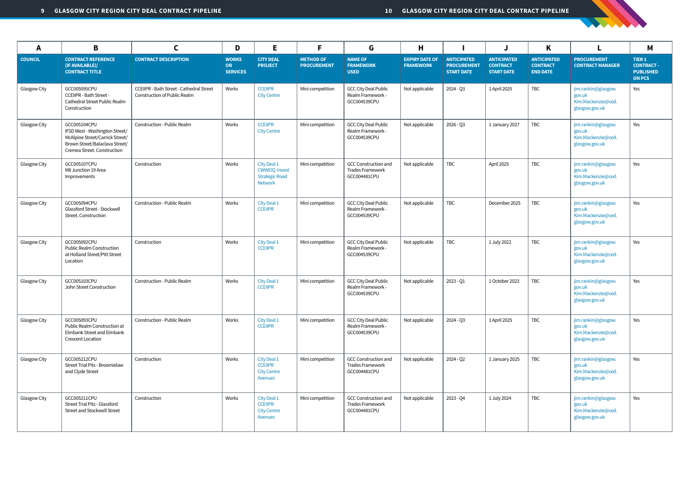| A              | B                                                                                                                                                  | C                                                                               | D                                            | Е                                                                              | F                                      | G                                                                      | Н                                         |                                                               |                                                            | K                                                        | L                                                                     | M                                                               |
|----------------|----------------------------------------------------------------------------------------------------------------------------------------------------|---------------------------------------------------------------------------------|----------------------------------------------|--------------------------------------------------------------------------------|----------------------------------------|------------------------------------------------------------------------|-------------------------------------------|---------------------------------------------------------------|------------------------------------------------------------|----------------------------------------------------------|-----------------------------------------------------------------------|-----------------------------------------------------------------|
| <b>COUNCIL</b> | <b>CONTRACT REFERENCE</b><br>(IF AVAILABLE)/<br><b>CONTRACT TITLE</b>                                                                              | <b>CONTRACT DESCRIPTION</b>                                                     | <b>WORKS</b><br><b>OR</b><br><b>SERVICES</b> | <b>CITY DEAL</b><br><b>PROJECT</b>                                             | <b>METHOD OF</b><br><b>PROCUREMENT</b> | <b>NAME OF</b><br><b>FRAMEWORK</b><br><b>USED</b>                      | <b>EXPIRY DATE OF</b><br><b>FRAMEWORK</b> | <b>ANTICIPATED</b><br><b>PROCUREMENT</b><br><b>START DATE</b> | <b>ANTICIPATED</b><br><b>CONTRACT</b><br><b>START DATE</b> | <b>ANTICIPATED</b><br><b>CONTRACT</b><br><b>END DATE</b> | <b>PROCUREMENT</b><br><b>CONTRACT MANAGER</b>                         | TIER 1<br><b>CONTRACT-</b><br><b>PUBLISHED</b><br><b>ON PCS</b> |
| Glasgow City   | GCC005095CPU<br>CCEIIPR - Bath Street -<br>Cathedral Street Public Realm<br>Construction                                                           | <b>CCEIIPR - Bath Street - Cathedral Street</b><br>Construction of Public Realm | Works                                        | <b>CCEIIPR</b><br><b>City Centre</b>                                           | Mini competition                       | <b>GCC City Deal Public</b><br>Realm Framework -<br>GCC004539CPU       | Not applicable                            | 2024 - Q3                                                     | 1 April 2025                                               | <b>TBC</b>                                               | jim.rankin@glasgow.<br>gov.uk<br>Kim.Mackenzie@ced.<br>glasgow.gov.uk | Yes                                                             |
| Glasgow City   | GCC005104CPU<br>IFSD West - Washington Street/<br>McAlpine Street/Carrick Street/<br>Brown Street/Balaclava Street/<br>Cremea Street. Construction | Construction - Public Realm                                                     | Works                                        | <b>CCEIIPR</b><br><b>City Centre</b>                                           | Mini competition                       | <b>GCC City Deal Public</b><br>Realm Framework -<br>GCC004539CPU       | Not applicable                            | 2026 - Q3                                                     | 1 January 2027                                             | TBC                                                      | jim.rankin@glasgow.<br>gov.uk<br>Kim.Mackenzie@ced.<br>glasgow.gov.uk | Yes                                                             |
| Glasgow City   | GCC005107CPU<br>M8 Junction 19 Area<br>Improvements                                                                                                | Construction                                                                    | Works                                        | City Deal 1<br><b>CWWEIQ Invest</b><br><b>Strategic Road</b><br><b>Network</b> | Mini competition                       | <b>GCC Construction and</b><br><b>Trades Framework</b><br>GCC004481CPU | Not applicable                            | TBC                                                           | April 2025                                                 | TBC                                                      | jim.rankin@glasgow.<br>gov.uk<br>Kim.Mackenzie@ced.<br>glasgow.gov.uk | Yes                                                             |
| Glasgow City   | GCC005094CPU<br>Glassford Street - Stockwell<br>Street. Construction                                                                               | Construction - Public Realm                                                     | Works                                        | City Deal 1<br><b>CCEIIPR</b>                                                  | Mini competition                       | <b>GCC City Deal Public</b><br>Realm Framework -<br>GCC004539CPU       | Not applicable                            | <b>TBC</b>                                                    | December 2025                                              | TBC                                                      | jim.rankin@glasgow.<br>gov.uk<br>Kim.Mackenzie@ced.<br>glasgow.gov.uk | Yes                                                             |
| Glasgow City   | GCC005092CPU<br><b>Public Realm Construction</b><br>at Holland Street/Pitt Street<br>Location                                                      | Construction                                                                    | Works                                        | City Deal 1<br><b>CCEIIPR</b>                                                  | Mini competition                       | <b>GCC City Deal Public</b><br>Realm Framework -<br>GCC004539CPU       | Not applicable                            | <b>TBC</b>                                                    | 1 July 2022                                                | TBC                                                      | jim.rankin@glasgow.<br>gov.uk<br>Kim.Mackenzie@ced.<br>glasgow.gov.uk | Yes                                                             |
| Glasgow City   | GCC005103CPU<br>John Street Construction                                                                                                           | Construction - Public Realm                                                     | Works                                        | City Deal 1<br><b>CCEIIPR</b>                                                  | Mini competition                       | <b>GCC City Deal Public</b><br>Realm Framework -<br>GCC004539CPU       | Not applicable                            | $2023 - Q1$                                                   | 1 October 2023                                             | <b>TBC</b>                                               | jim.rankin@glasgow.<br>gov.uk<br>Kim.Mackenzie@ced.<br>glasgow.gov.uk | Yes                                                             |
| Glasgow City   | GCC005093CPU<br>Public Realm Construction at<br>Elmbank Street and Elmbank<br>Crescent Location                                                    | Construction - Public Realm                                                     | Works                                        | City Deal 1<br><b>CCEIIPR</b>                                                  | Mini competition                       | <b>GCC City Deal Public</b><br>Realm Framework -<br>GCC004539CPU       | Not applicable                            | $2024 - Q3$                                                   | 1 April 2025                                               | <b>TBC</b>                                               | jim.rankin@glasgow.<br>gov.uk<br>Kim.Mackenzie@ced.<br>glasgow.gov.uk | Yes                                                             |
| Glasgow City   | GCC005212CPU<br>Street Trial Pits - Broomielaw<br>and Clyde Street                                                                                 | Construction                                                                    | Works                                        | City Deal 1<br><b>CCEIIPR</b><br><b>City Centre</b><br>Avenues                 | Mini competition                       | <b>GCC Construction and</b><br><b>Trades Framework</b><br>GCC004481CPU | Not applicable                            | 2024 - Q2                                                     | 1 January 2025                                             | <b>TBC</b>                                               | jim.rankin@glasgow.<br>gov.uk<br>Kim.Mackenzie@ced.<br>glasgow.gov.uk | Yes                                                             |
| Glasgow City   | GCC005211CPU<br><b>Street Trial Pits - Glassford</b><br>Street and Stockwell Street                                                                | Construction                                                                    | Works                                        | City Deal 1<br><b>CCEIIPR</b><br><b>City Centre</b><br>Avenues                 | Mini competition                       | <b>GCC Construction and</b><br><b>Trades Framework</b><br>GCC004481CPU | Not applicable                            | 2023 - Q4                                                     | 1 July 2024                                                | TBC                                                      | jim.rankin@glasgow.<br>gov.uk<br>Kim.Mackenzie@ced.<br>glasgow.gov.uk | Yes                                                             |

STATISTICS.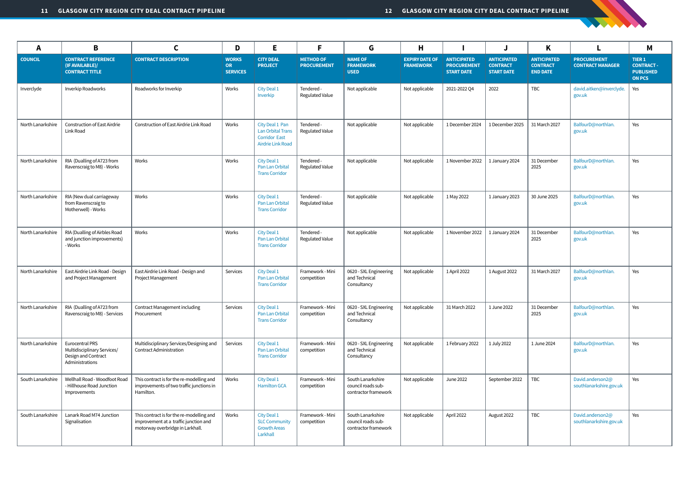| A                 | B                                                                                        | C                                                                                                                      | D                                            | E.                                                                                       | F                                      | G                                                               | H                                         |                                                               |                                                            | K                                                        | L.                                            | M                                                                      |
|-------------------|------------------------------------------------------------------------------------------|------------------------------------------------------------------------------------------------------------------------|----------------------------------------------|------------------------------------------------------------------------------------------|----------------------------------------|-----------------------------------------------------------------|-------------------------------------------|---------------------------------------------------------------|------------------------------------------------------------|----------------------------------------------------------|-----------------------------------------------|------------------------------------------------------------------------|
| <b>COUNCIL</b>    | <b>CONTRACT REFERENCE</b><br>(IF AVAILABLE)/<br><b>CONTRACT TITLE</b>                    | <b>CONTRACT DESCRIPTION</b>                                                                                            | <b>WORKS</b><br><b>OR</b><br><b>SERVICES</b> | <b>CITY DEAL</b><br><b>PROJECT</b>                                                       | <b>METHOD OF</b><br><b>PROCUREMENT</b> | <b>NAME OF</b><br><b>FRAMEWORK</b><br><b>USED</b>               | <b>EXPIRY DATE OF</b><br><b>FRAMEWORK</b> | <b>ANTICIPATED</b><br><b>PROCUREMENT</b><br><b>START DATE</b> | <b>ANTICIPATED</b><br><b>CONTRACT</b><br><b>START DATE</b> | <b>ANTICIPATED</b><br><b>CONTRACT</b><br><b>END DATE</b> | <b>PROCUREMENT</b><br><b>CONTRACT MANAGER</b> | <b>TIER 1</b><br><b>CONTRACT-</b><br><b>PUBLISHED</b><br><b>ON PCS</b> |
| Inverclyde        | Inverkip Roadworks                                                                       | Roadworks for Inverkip                                                                                                 | Works                                        | City Deal 1<br>Inverkip                                                                  | Tendered -<br>Regulated Value          | Not applicable                                                  | Not applicable                            | 2021-2022 Q4                                                  | 2022                                                       | <b>TBC</b>                                               | david.aitken@inverclyde.<br>gov.uk            | Yes                                                                    |
| North Lanarkshire | <b>Construction of East Airdrie</b><br>Link Road                                         | Construction of East Airdrie Link Road                                                                                 | Works                                        | City Deal 1 Pan<br><b>Lan Orbital Trans</b><br><b>Corridor East</b><br>Airdrie Link Road | Tendered -<br><b>Regulated Value</b>   | Not applicable                                                  | Not applicable                            | 1 December 2024                                               | 1 December 2025                                            | 31 March 2027                                            | BalfourD@northlan.<br>gov.uk                  | Yes                                                                    |
| North Lanarkshire | RIA (Dualling of A723 from<br>Ravenscraig to M8) - Works                                 | Works                                                                                                                  | Works                                        | City Deal 1<br>Pan Lan Orbital<br><b>Trans Corridor</b>                                  | Tendered -<br><b>Regulated Value</b>   | Not applicable                                                  | Not applicable                            | 1 November 2022                                               | 1 January 2024                                             | 31 December<br>2025                                      | BalfourD@northlan.<br>gov.uk                  | Yes                                                                    |
| North Lanarkshire | RIA (New dual carriageway<br>from Ravenscraig to<br>Motherwell) - Works                  | Works                                                                                                                  | Works                                        | City Deal 1<br>Pan Lan Orbital<br><b>Trans Corridor</b>                                  | Tendered -<br><b>Regulated Value</b>   | Not applicable                                                  | Not applicable                            | 1 May 2022                                                    | 1 January 2023                                             | 30 June 2025                                             | BalfourD@northlan.<br>gov.uk                  | Yes                                                                    |
| North Lanarkshire | RIA (Dualling of Airbles Road<br>and junction improvements)<br>- Works                   | Works                                                                                                                  | Works                                        | City Deal 1<br>Pan Lan Orbital<br><b>Trans Corridor</b>                                  | Tendered -<br><b>Regulated Value</b>   | Not applicable                                                  | Not applicable                            | 1 November 2022                                               | 1 January 2024                                             | 31 December<br>2025                                      | BalfourD@northlan.<br>gov.uk                  | Yes                                                                    |
| North Lanarkshire | East Airdrie Link Road - Design<br>and Project Management                                | East Airdrie Link Road - Design and<br><b>Project Management</b>                                                       | Services                                     | City Deal 1<br>Pan Lan Orbital<br><b>Trans Corridor</b>                                  | Framework - Mini<br>competition        | 0620 - SXL Engineering<br>and Technical<br>Consultancy          | Not applicable                            | 1 April 2022                                                  | 1 August 2022                                              | 31 March 2027                                            | BalfourD@northlan.<br>gov.uk                  | Yes                                                                    |
| North Lanarkshire | RIA (Dualling of A723 from<br>Ravenscraig to M8) - Services                              | <b>Contract Management including</b><br>Procurement                                                                    | Services                                     | City Deal 1<br>Pan Lan Orbital<br><b>Trans Corridor</b>                                  | Framework - Mini<br>competition        | 0620 - SXL Engineering<br>and Technical<br>Consultancy          | Not applicable                            | 31 March 2022                                                 | 1 June 2022                                                | 31 December<br>2025                                      | BalfourD@northlan.<br>gov.uk                  | Yes                                                                    |
| North Lanarkshire | Eurocentral PRS<br>Multidisciplinary Services/<br>Design and Contract<br>Administrations | Multidisciplinary Services/Designing and<br><b>Contract Administration</b>                                             | Services                                     | City Deal 1<br>Pan Lan Orbital<br><b>Trans Corridor</b>                                  | Framework - Mini<br>competition        | 0620 - SXL Engineering<br>and Technical<br>Consultancy          | Not applicable                            | 1 February 2022                                               | 1 July 2022                                                | 1 June 2024                                              | BalfourD@northlan.<br>gov.uk                  | Yes                                                                    |
| South Lanarkshire | Wellhall Road - Woodfoot Road<br>- Hillhouse Road Junction<br>Improvements               | This contract is for the re-modelling and<br>improvements of two traffic junctions in<br>Hamilton.                     | Works                                        | City Deal 1<br><b>Hamilton GCA</b>                                                       | Framework - Mini<br>competition        | South Lanarkshire<br>council roads sub-<br>contractor framework | Not applicable                            | <b>June 2022</b>                                              | September 2022                                             | <b>TBC</b>                                               | David.anderson2@<br>southlanarkshire.gov.uk   | Yes                                                                    |
| South Lanarkshire | Lanark Road M74 Junction<br>Signalisation                                                | This contract is for the re-modelling and<br>improvement at a traffic junction and<br>motorway overbridge in Larkhall. | Works                                        | City Deal 1<br><b>SLC Community</b><br><b>Growth Areas</b><br>Larkhall                   | Framework - Mini<br>competition        | South Lanarkshire<br>council roads sub-<br>contractor framework | Not applicable                            | April 2022                                                    | August 2022                                                | TBC                                                      | David.anderson2@<br>southlanarkshire.gov.uk   | Yes                                                                    |

STATISTICS.